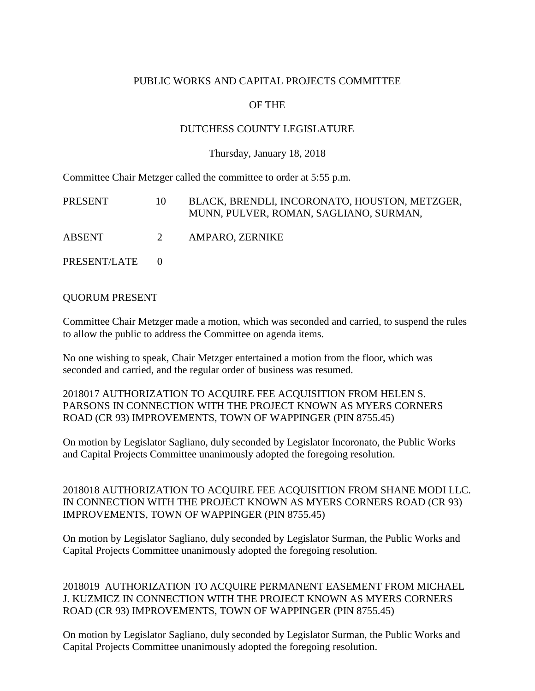## PUBLIC WORKS AND CAPITAL PROJECTS COMMITTEE

# OF THE

### DUTCHESS COUNTY LEGISLATURE

#### Thursday, January 18, 2018

Committee Chair Metzger called the committee to order at 5:55 p.m.

| PRESENT      | 10 | BLACK, BRENDLI, INCORONATO, HOUSTON, METZGER,<br>MUNN, PULVER, ROMAN, SAGLIANO, SURMAN, |
|--------------|----|-----------------------------------------------------------------------------------------|
| ABSENT       | 2  | AMPARO, ZERNIKE                                                                         |
| PRESENT/LATE |    |                                                                                         |

### QUORUM PRESENT

Committee Chair Metzger made a motion, which was seconded and carried, to suspend the rules to allow the public to address the Committee on agenda items.

No one wishing to speak, Chair Metzger entertained a motion from the floor, which was seconded and carried, and the regular order of business was resumed.

2018017 AUTHORIZATION TO ACQUIRE FEE ACQUISITION FROM HELEN S. PARSONS IN CONNECTION WITH THE PROJECT KNOWN AS MYERS CORNERS ROAD (CR 93) IMPROVEMENTS, TOWN OF WAPPINGER (PIN 8755.45)

On motion by Legislator Sagliano, duly seconded by Legislator Incoronato, the Public Works and Capital Projects Committee unanimously adopted the foregoing resolution.

2018018 AUTHORIZATION TO ACQUIRE FEE ACQUISITION FROM SHANE MODI LLC. IN CONNECTION WITH THE PROJECT KNOWN AS MYERS CORNERS ROAD (CR 93) IMPROVEMENTS, TOWN OF WAPPINGER (PIN 8755.45)

On motion by Legislator Sagliano, duly seconded by Legislator Surman, the Public Works and Capital Projects Committee unanimously adopted the foregoing resolution.

2018019 AUTHORIZATION TO ACQUIRE PERMANENT EASEMENT FROM MICHAEL J. KUZMICZ IN CONNECTION WITH THE PROJECT KNOWN AS MYERS CORNERS ROAD (CR 93) IMPROVEMENTS, TOWN OF WAPPINGER (PIN 8755.45)

On motion by Legislator Sagliano, duly seconded by Legislator Surman, the Public Works and Capital Projects Committee unanimously adopted the foregoing resolution.